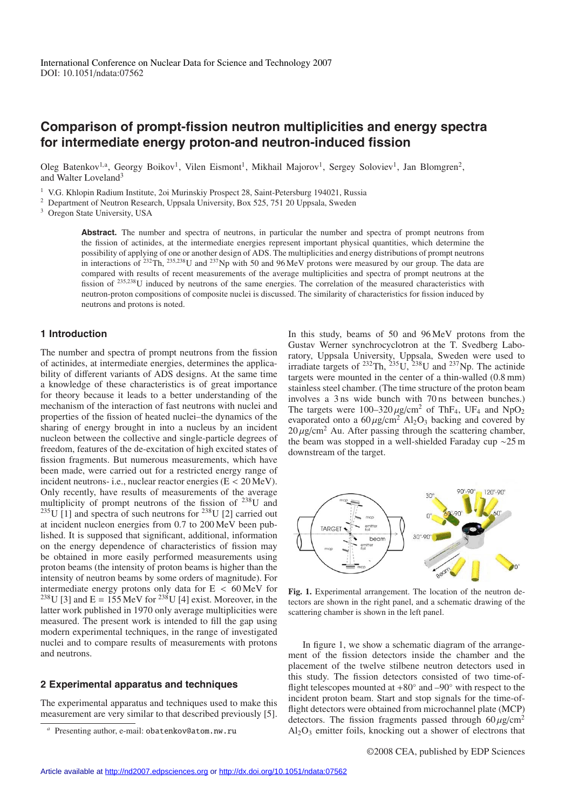# **Comparison of prompt-fission neutron multiplicities and energy spectra for intermediate energy proton-and neutron-induced fission**

Oleg Batenkov<sup>1,a</sup>, Georgy Boikov<sup>1</sup>, Vilen Eismont<sup>1</sup>, Mikhail Majorov<sup>1</sup>, Sergey Soloviev<sup>1</sup>, Jan Blomgren<sup>2</sup>, and Walter Loveland<sup>3</sup>

<sup>1</sup> V.G. Khlopin Radium Institute, 2oi Murinskiy Prospect 28, Saint-Petersburg 194021, Russia

<sup>2</sup> Department of Neutron Research, Uppsala University, Box 525, 751 20 Uppsala, Sweden

<sup>3</sup> Oregon State University, USA

**Abstract.** The number and spectra of neutrons, in particular the number and spectra of prompt neutrons from the fission of actinides, at the intermediate energies represent important physical quantities, which determine the possibility of applying of one or another design of ADS. The multiplicities and energy distributions of prompt neutrons in interactions of <sup>232</sup>Th, <sup>235,238</sup>U and <sup>237</sup>Np with 50 and 96 MeV protons were measured by our group. The data are compared with results of recent measurements of the average multiplicities and spectra of prompt neutrons at the fission of <sup>235</sup>,238U induced by neutrons of the same energies. The correlation of the measured characteristics with neutron-proton compositions of composite nuclei is discussed. The similarity of characteristics for fission induced by neutrons and protons is noted.

## **1 Introduction**

The number and spectra of prompt neutrons from the fission of actinides, at intermediate energies, determines the applicability of different variants of ADS designs. At the same time a knowledge of these characteristics is of great importance for theory because it leads to a better understanding of the mechanism of the interaction of fast neutrons with nuclei and properties of the fission of heated nuclei–the dynamics of the sharing of energy brought in into a nucleus by an incident nucleon between the collective and single-particle degrees of freedom, features of the de-excitation of high excited states of fission fragments. But numerous measurements, which have been made, were carried out for a restricted energy range of incident neutrons- i.e., nuclear reactor energies  $(E < 20 \text{ MeV})$ . Only recently, have results of measurements of the average multiplicity of prompt neutrons of the fission of 238U and  $^{235}$ U [1] and spectra of such neutrons for  $^{238}$ U [2] carried out at incident nucleon energies from 0.7 to 200 MeV been published. It is supposed that significant, additional, information on the energy dependence of characteristics of fission may be obtained in more easily performed measurements using proton beams (the intensity of proton beams is higher than the intensity of neutron beams by some orders of magnitude). For intermediate energy protons only data for E < 60 MeV for <sup>238</sup>U [3] and E = 155 MeV for <sup>238</sup>U [4] exist. Moreover, in the latter work published in 1970 only average multiplicities were measured. The present work is intended to fill the gap using modern experimental techniques, in the range of investigated nuclei and to compare results of measurements with protons and neutrons.

### **2 Experimental apparatus and techniques**

The experimental apparatus and techniques used to make this measurement are very similar to that described previously [5]. In this study, beams of 50 and 96 MeV protons from the Gustav Werner synchrocyclotron at the T. Svedberg Laboratory, Uppsala University, Uppsala, Sweden were used to irradiate targets of  $232 \text{ Th}$ ,  $235 \text{ U}$ ,  $238 \text{ U}$  and  $237 \text{ Np}$ . The actinide targets were mounted in the center of a thin-walled (0.8 mm) stainless steel chamber. (The time structure of the proton beam involves a 3 ns wide bunch with 70 ns between bunches.) The targets were  $100-320 \mu\text{g/cm}^2$  of ThF<sub>4</sub>, UF<sub>4</sub> and NpO<sub>2</sub> evaporated onto a  $60 \mu\text{g/cm}^2$  Al<sub>2</sub>O<sub>3</sub> backing and covered by  $20 \mu$ g/cm<sup>2</sup> Au. After passing through the scattering chamber, the beam was stopped in a well-shielded Faraday cup ∼25 m downstream of the target.



**Fig. 1.** Experimental arrangement. The location of the neutron detectors are shown in the right panel, and a schematic drawing of the scattering chamber is shown in the left panel.

In figure 1, we show a schematic diagram of the arrangement of the fission detectors inside the chamber and the placement of the twelve stilbene neutron detectors used in this study. The fission detectors consisted of two time-offlight telescopes mounted at  $+80°$  and  $-90°$  with respect to the incident proton beam. Start and stop signals for the time-offlight detectors were obtained from microchannel plate (MCP) detectors. The fission fragments passed through  $60 \mu g/cm^2$  $Al_2O_3$  emitter foils, knocking out a shower of electrons that

Presenting author, e-mail: obatenkov@atom.nw.ru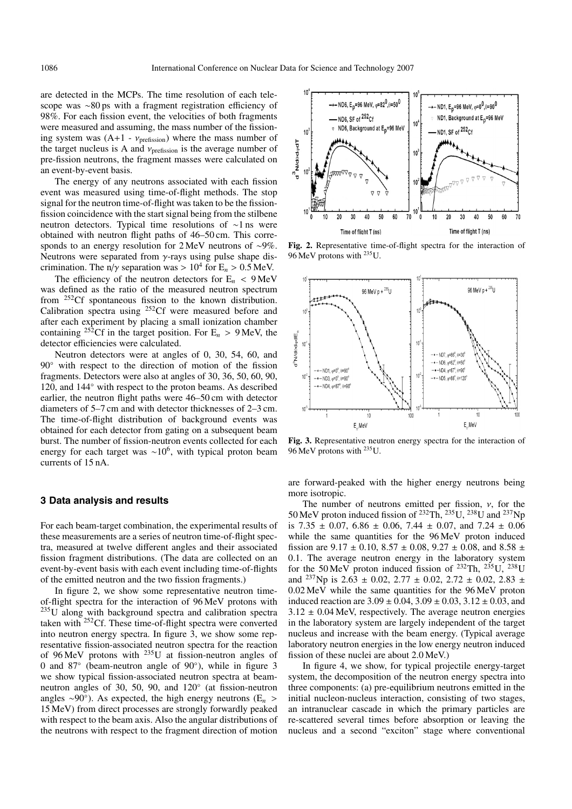are detected in the MCPs. The time resolution of each telescope was ∼80 ps with a fragment registration efficiency of 98%. For each fission event, the velocities of both fragments were measured and assuming, the mass number of the fissioning system was  $(A+1 - v_{\text{prefission}})$  where the mass number of the target nucleus is A and  $v_{\text{prefission}}$  is the average number of pre-fission neutrons, the fragment masses were calculated on an event-by-event basis.

The energy of any neutrons associated with each fission event was measured using time-of-flight methods. The stop signal for the neutron time-of-flight was taken to be the fissionfission coincidence with the start signal being from the stilbene neutron detectors. Typical time resolutions of ∼1 ns were obtained with neutron flight paths of 46–50 cm. This corresponds to an energy resolution for 2 MeV neutrons of ∼9%. Neutrons were separated from  $\gamma$ -rays using pulse shape discrimination. The n/ $\gamma$  separation was > 10<sup>4</sup> for E<sub>n</sub> > 0.5 MeV.

The efficiency of the neutron detectors for  $E_n < 9$  MeV was defined as the ratio of the measured neutron spectrum from 252Cf spontaneous fission to the known distribution. Calibration spectra using 252Cf were measured before and after each experiment by placing a small ionization chamber containing <sup>252</sup>Cf in the target position. For  $E_n > 9$  MeV, the detector efficiencies were calculated.

Neutron detectors were at angles of 0, 30, 54, 60, and 90◦ with respect to the direction of motion of the fission fragments. Detectors were also at angles of 30, 36, 50, 60, 90, 120, and 144° with respect to the proton beams. As described earlier, the neutron flight paths were 46–50 cm with detector diameters of 5–7 cm and with detector thicknesses of 2–3 cm. The time-of-flight distribution of background events was obtained for each detector from gating on a subsequent beam burst. The number of fission-neutron events collected for each energy for each target was  $\sim 10^6$ , with typical proton beam currents of 15 nA.

## **3 Data analysis and results**

For each beam-target combination, the experimental results of these measurements are a series of neutron time-of-flight spectra, measured at twelve different angles and their associated fission fragment distributions. (The data are collected on an event-by-event basis with each event including time-of-flights of the emitted neutron and the two fission fragments.)

In figure 2, we show some representative neutron timeof-flight spectra for the interaction of 96 MeV protons with 235U along with background spectra and calibration spectra taken with  $252 \text{Cf}$ . These time-of-flight spectra were converted into neutron energy spectra. In figure 3, we show some representative fission-associated neutron spectra for the reaction of 96 MeV protons with 235U at fission-neutron angles of 0 and 87◦ (beam-neutron angle of 90◦), while in figure 3 we show typical fission-associated neutron spectra at beamneutron angles of 30, 50, 90, and 120◦ (at fission-neutron angles ∼90◦). As expected, the high energy neutrons (E*<sup>n</sup>* > 15 MeV) from direct processes are strongly forwardly peaked with respect to the beam axis. Also the angular distributions of the neutrons with respect to the fragment direction of motion



**Fig. 2.** Representative time-of-flight spectra for the interaction of 96 MeV protons with 235U.



**Fig. 3.** Representative neutron energy spectra for the interaction of 96 MeV protons with 235U.

are forward-peaked with the higher energy neutrons being more isotropic.

The number of neutrons emitted per fission,  $\nu$ , for the 50 MeV proton induced fission of  $^{232}$ Th,  $^{235}$ U,  $^{238}$ U and  $^{237}$ Np is 7.35  $\pm$  0.07, 6.86  $\pm$  0.06, 7.44  $\pm$  0.07, and 7.24  $\pm$  0.06 while the same quantities for the 96 MeV proton induced fission are  $9.17 \pm 0.10$ ,  $8.57 \pm 0.08$ ,  $9.27 \pm 0.08$ , and  $8.58 \pm 0.08$ 0.1. The average neutron energy in the laboratory system for the 50 MeV proton induced fission of  $^{232}$ Th,  $^{235}$ U,  $^{238}$ U and <sup>237</sup>Np is 2.63  $\pm$  0.02, 2.77  $\pm$  0.02, 2.72  $\pm$  0.02, 2.83  $\pm$ 0.02 MeV while the same quantities for the 96 MeV proton induced reaction are  $3.09 \pm 0.04$ ,  $3.09 \pm 0.03$ ,  $3.12 \pm 0.03$ , and  $3.12 \pm 0.04$  MeV, respectively. The average neutron energies in the laboratory system are largely independent of the target nucleus and increase with the beam energy. (Typical average laboratory neutron energies in the low energy neutron induced fission of these nuclei are about 2.0 MeV.)

In figure 4, we show, for typical projectile energy-target system, the decomposition of the neutron energy spectra into three components: (a) pre-equilibrium neutrons emitted in the initial nucleon-nucleus interaction, consisting of two stages, an intranuclear cascade in which the primary particles are re-scattered several times before absorption or leaving the nucleus and a second "exciton" stage where conventional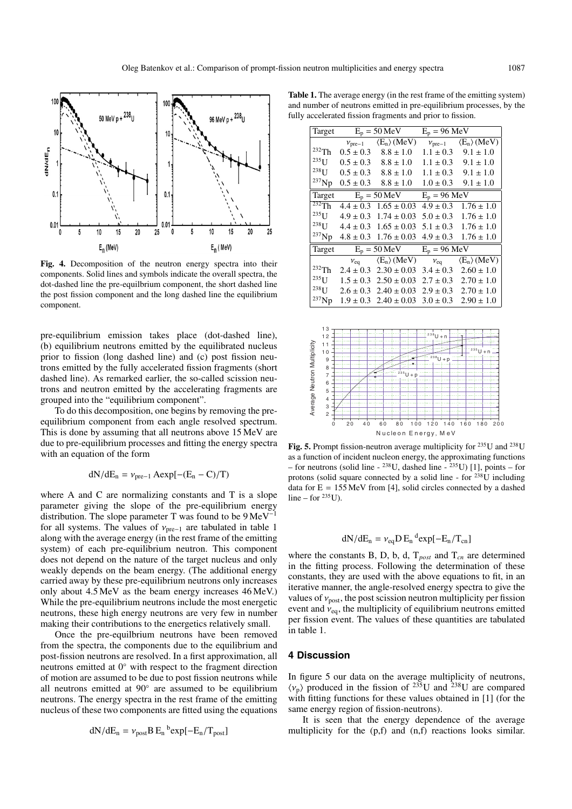

**Fig. 4.** Decomposition of the neutron energy spectra into their components. Solid lines and symbols indicate the overall spectra, the dot-dashed line the pre-equilbrium component, the short dashed line the post fission component and the long dashed line the equilibrium component.

pre-equilibrium emission takes place (dot-dashed line), (b) equilibrium neutrons emitted by the equilibrated nucleus prior to fission (long dashed line) and (c) post fission neutrons emitted by the fully accelerated fission fragments (short dashed line). As remarked earlier, the so-called scission neutrons and neutron emitted by the accelerating fragments are grouped into the "equilibrium component".

To do this decomposition, one begins by removing the preequilibrium component from each angle resolved spectrum. This is done by assuming that all neutrons above 15 MeV are due to pre-equilibrium processes and fitting the energy spectra with an equation of the form

$$
dN/dE_n = \nu_{pre-1} A \exp[-(E_n - C)/T)
$$

where A and C are normalizing constants and T is a slope parameter giving the slope of the pre-equilibrium energy distribution. The slope parameter T was found to be  $9 \text{ MeV}^{-1}$ for all systems. The values of  $v_{pre-1}$  are tabulated in table 1 along with the average energy (in the rest frame of the emitting system) of each pre-equilibrium neutron. This component does not depend on the nature of the target nucleus and only weakly depends on the beam energy. (The additional energy carried away by these pre-equilibrium neutrons only increases only about 4.5 MeV as the beam energy increases 46 MeV.) While the pre-equilibrium neutrons include the most energetic neutrons, these high energy neutrons are very few in number making their contributions to the energetics relatively small.

Once the pre-equilbrium neutrons have been removed from the spectra, the components due to the equilibrium and post-fission neutrons are resolved. In a first approximation, all neutrons emitted at 0◦ with respect to the fragment direction of motion are assumed to be due to post fission neutrons while all neutrons emitted at 90◦ are assumed to be equilibrium neutrons. The energy spectra in the rest frame of the emitting nucleus of these two components are fitted using the equations

$$
dN/dE_n = \nu_{post} B E_n^{\ b} exp[-E_n/T_{post}]
$$

**Table 1.** The average energy (in the rest frame of the emitting system) and number of neutrons emitted in pre-equilibrium processes, by the fully accelerated fission fragments and prior to fission.

| Target      | $E_p = 50 \text{ MeV}$ |                                                | $E_p = 96 \text{ MeV}$ |                                                |
|-------------|------------------------|------------------------------------------------|------------------------|------------------------------------------------|
|             |                        | $v_{\text{pre}-1}$ $\langle E_n \rangle$ (MeV) |                        | $v_{\text{pre}-1}$ $\langle E_n \rangle$ (MeV) |
| $232$ Th    | $0.5 \pm 0.3$          | $8.8 \pm 1.0$                                  | $1.1 \pm 0.3$          | $9.1 \pm 1.0$                                  |
| $235$ [J    | $0.5 \pm 0.3$          | $8.8 \pm 1.0$                                  | $1.1 \pm 0.3$          | $9.1 \pm 1.0$                                  |
| $^{238}$ U  | $0.5 \pm 0.3$          | $8.8 \pm 1.0$                                  | $1.1 \pm 0.3$          | $9.1 \pm 1.0$                                  |
| $^{237}$ Np | $0.5 \pm 0.3$          | $8.8 \pm 1.0$                                  | $1.0 \pm 0.3$          | $9.1 \pm 1.0$                                  |
| Target      | $E_p = 50 \text{ MeV}$ |                                                | $E_p = 96 \text{ MeV}$ |                                                |
| $232$ Th    | $4.4 \pm 0.3$          | $1.65 \pm 0.03$                                | $4.9 \pm 0.3$          | $1.76 \pm 1.0$                                 |
| $^{235}$ U  | $4.9 \pm 0.3$          | $1.74 \pm 0.03$                                | $5.0 \pm 0.3$          | $1.76 \pm 1.0$                                 |
| $^{238}$ U  | $4.4 \pm 0.3$          | $1.65 \pm 0.03$                                | $5.1 \pm 0.3$          | $1.76 \pm 1.0$                                 |
| $^{237}$ Np | $4.8 \pm 0.3$          | $1.76 \pm 0.03$                                | $4.9 \pm 0.3$          | $1.76 \pm 1.0$                                 |
| Target      | $E_p = 50 \text{ MeV}$ |                                                | $E_p = 96 \text{ MeV}$ |                                                |
|             | $v_{eq}$               | $\langle E_n \rangle$ (MeV)                    | $v_{\text{eq}}$        | $\langle E_n \rangle$ (MeV)                    |
| $232$ Th    | $2.4 \pm 0.3$          | $2.30 \pm 0.03$                                | $3.4 \pm 0.3$          | $2.60 \pm 1.0$                                 |
| $235$ U     | $1.5 \pm 0.3$          | $2.50 \pm 0.03$                                | $2.7 \pm 0.3$          | $2.70 \pm 1.0$                                 |
| $238$ U     | $2.6 \pm 0.3$          | $2.40 \pm 0.03$                                | $2.9 \pm 0.3$          | $2.70 \pm 1.0$                                 |
| $^{237}$ Np | $1.9 \pm 0.3$          | $2.40 \pm 0.03$                                | $3.0 \pm 0.3$          | $2.90 \pm 1.0$                                 |



Fig. 5. Prompt fission-neutron average multiplicity for <sup>235</sup>U and <sup>238</sup>U as a function of incident nucleon energy, the approximating functions – for neutrons (solid line -  $^{238}$ U, dashed line -  $^{235}$ U) [1], points – for protons (solid square connected by a solid line - for  $^{238}$ U including data for  $E = 155$  MeV from [4], solid circles connected by a dashed line – for  $^{235}$ U).

# $dN/dE_n = v_{eq} D E_n^d exp[-E_n/T_{cn}]$

where the constants B, D, b, d, T*post* and T*cn* are determined in the fitting process. Following the determination of these constants, they are used with the above equations to fit, in an iterative manner, the angle-resolved energy spectra to give the values of  $v_{\text{post}}$ , the post scission neutron multiplicity per fission event and  $v_{eq}$ , the multiplicity of equilibrium neutrons emitted per fission event. The values of these quantities are tabulated in table 1.

### **4 Discussion**

In figure 5 our data on the average multiplicity of neutrons,  $\langle v_p \rangle$  produced in the fission of <sup>235</sup>U and <sup>238</sup>U are compared with fitting functions for these values obtained in [1] (for the same energy region of fission-neutrons).

It is seen that the energy dependence of the average multiplicity for the (p,f) and (n,f) reactions looks similar.